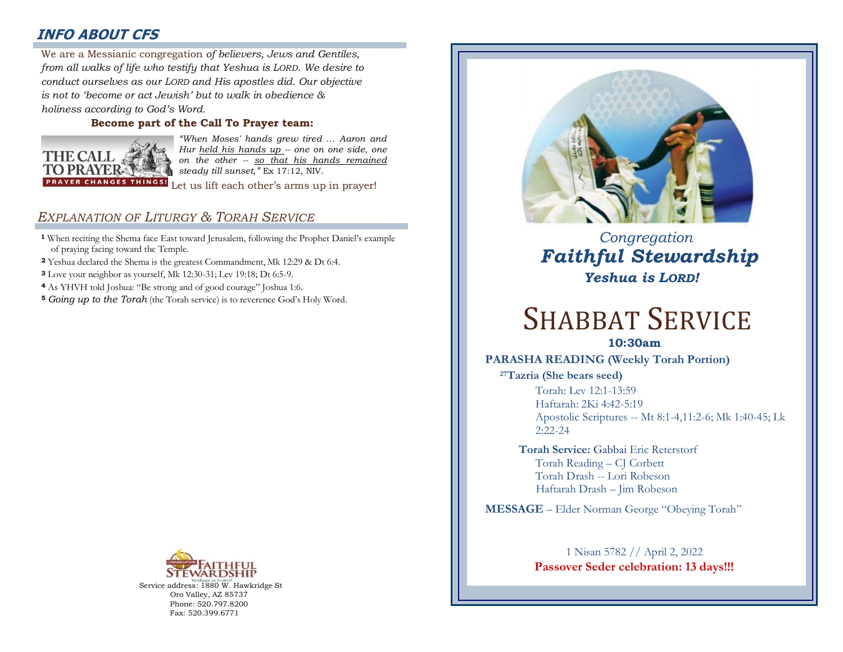# **INFO ABOUT CFS**

: *from all walks of life who testify that Yeshua is LORD. We desire to*  We are a Messianic congregation *of believers, Jews and Gentiles, conduct ourselves as our LORD and His apostles did. Our objective is not to 'become or act Jewish' but to walk in obedience & holiness according to God's Word.* 

#### **Become part of the Call To Prayer team:**



*"When Moses' hands grew tired … Aaron and Hur held his hands up -- one on one side, one on the other -- so that his hands remained steady till sunset,"* Ex 17:12, NIV.

Let us lift each other's arms up in prayer!

# *EXPLANATION OF LITURGY & TORAH SERVICE*

- **<sup>1</sup>** When reciting the Shema face East toward Jerusalem, following the Prophet Daniel's example of praying facing toward the Temple.
- **<sup>2</sup>** Yeshua declared the Shema is the greatest Commandment, Mk 12:29 & Dt 6:4.
- **<sup>3</sup>** Love your neighbor as yourself, Mk 12:30-31; Lev 19:18; Dt 6:5-9.
- **<sup>4</sup>** As YHVH told Joshua: "Be strong and of good courage" Joshua 1:6.
- **<sup>5</sup>** *Going up to the Torah* (the Torah service) is to reverence God's Holy Word.



Service address: 1880 W. Hawkridge St Oro Valley, AZ 85737 Phone: 520.797.8200 Fax: 520.399.6771



 *Congregation Faithful Stewardship Yeshua is LORD!*

# SHABBAT SERVICE

# **10:30am**

#### **PARASHA READING (Weekly Torah Portion)**

**<sup>27</sup>Tazria (She bears seed)**

Torah: Lev 12:1-13:59 Haftarah: 2Ki 4:42-5:19 Apostolic Scriptures -- Mt 8:1-4,11:2-6; Mk 1:40-45; Lk 2:22-24

**Torah Service:** Gabbai Eric Reterstorf Torah Reading – CJ Corbett Torah Drash -- Lori Robeson Haftarah Drash – Jim Robeson

**MESSAGE** – Elder Norman George "Obeying Torah"

# 1 Nisan 5782 // April 2, 2022 **Passover Seder celebration: 13 days!!!**